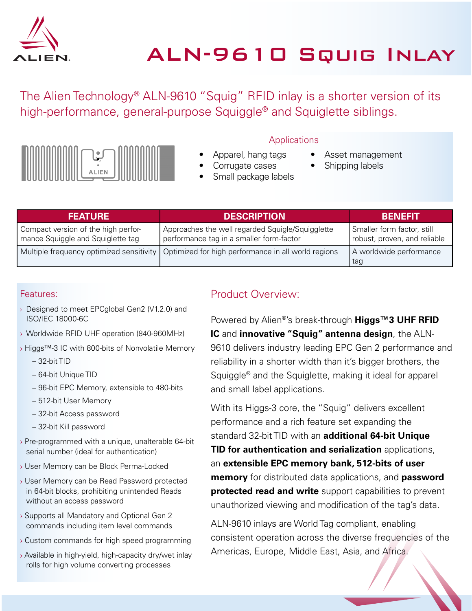

The Alien Technology® ALN-9610 "Squig" RFID inlay is a shorter version of its high-performance, general-purpose Squiggle® and Squiglette siblings.



#### **Applications**

- Apparel, hang tags
- Corrugate cases
	- Small package labels
- Asset management
- Shipping labels
- 

| <b>FEATURE</b>                                                           | <b>DESCRIPTION</b>                                                                           | <b>BENEFIT</b>                                             |
|--------------------------------------------------------------------------|----------------------------------------------------------------------------------------------|------------------------------------------------------------|
| Compact version of the high perfor-<br>mance Squiggle and Squiglette tag | Approaches the well regarded Squigle/Squigglette<br>performance tag in a smaller form-factor | Smaller form factor, still<br>robust, proven, and reliable |
| Multiple frequency optimized sensitivity                                 | Optimized for high performance in all world regions                                          | A worldwide performance<br>tag                             |

#### Features:

- › Designed to meet EPCglobal Gen2 (V1.2.0) and ISO/IEC 18000-6C
- › Worldwide RFID UHF operation (840-960MHz)
- › Higgs™-3 IC with 800-bits of Nonvolatile Memory
	- $-32$ -bit TID
	- 64-bit Unique TID
	- 96-bit EPC Memory, extensible to 480-bits
	- 512-bit User Memory
	- 32-bit Access password
	- 32-bit Kill password
- › Pre-programmed with a unique, unalterable 64-bit serial number (ideal for authentication)
- › User Memory can be Block Perma-Locked
- › User Memory can be Read Password protected in 64-bit blocks, prohibiting unintended Reads without an access password
- › Supports all Mandatory and Optional Gen 2 commands including item level commands
- › Custom commands for high speed programming
- › Available in high-yield, high-capacity dry/wet inlay rolls for high volume converting processes

### Product Overview:

Powered by Alien®'s break-through **Higgs™3 UHF RFID IC** and **innovative "Squig" antenna design**, the ALN-9610 delivers industry leading EPC Gen 2 performance and reliability in a shorter width than it's bigger brothers, the Squiggle® and the Squiglette, making it ideal for apparel and small label applications.

With its Higgs-3 core, the "Squig" delivers excellent performance and a rich feature set expanding the standard 32-bit TID with an **additional 64-bit Unique TID for authentication and serialization** applications, an **extensible EPC memory bank, 512-bits of user memory** for distributed data applications, and **password protected read and write** support capabilities to prevent unauthorized viewing and modification of the tag's data.

ALN-9610 inlays are World Tag compliant, enabling consistent operation across the diverse frequencies of the Americas, Europe, Middle East, Asia, and Africa.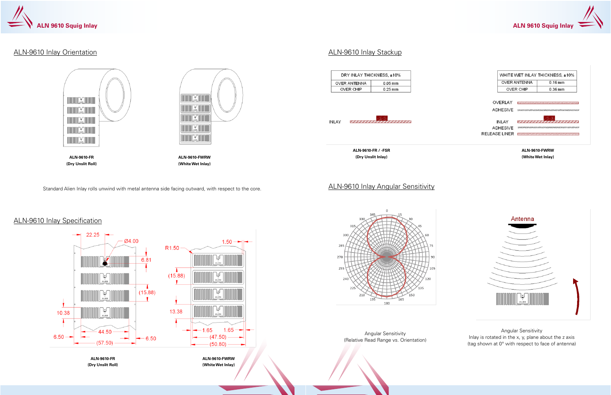

## ALN-9610 Inlay Orientation

# ALN-9610 Inlay Specification



|                 | <b>OVER ANTENNA</b>           | $0.16$ mm |
|-----------------|-------------------------------|-----------|
|                 | <b>OVER CHIP</b>              | 0.36 mm   |
|                 |                               |           |
| OVERLAY         | ,,,,,,,,,,,,,,,,,,,,,,,,,,,,, |           |
| <b>ADHESIVE</b> |                               |           |
|                 |                               |           |
|                 |                               |           |
| <b>INLAY</b>    |                               |           |
| <b>ADHESIVE</b> |                               |           |

Standard Alien Inlay rolls unwind with metal antenna side facing outward, with respect to the core.

## ALN-9610 Inlay Stackup



## ALN-9610 Inlay Angular Sensitivity



Angular Sensitivity Inlay is rotated in the x, y, plane about the z axis (tag shown at 0° with respect to face of antenna)

**ALN-9610-FWRW (White Wet Inlay)**